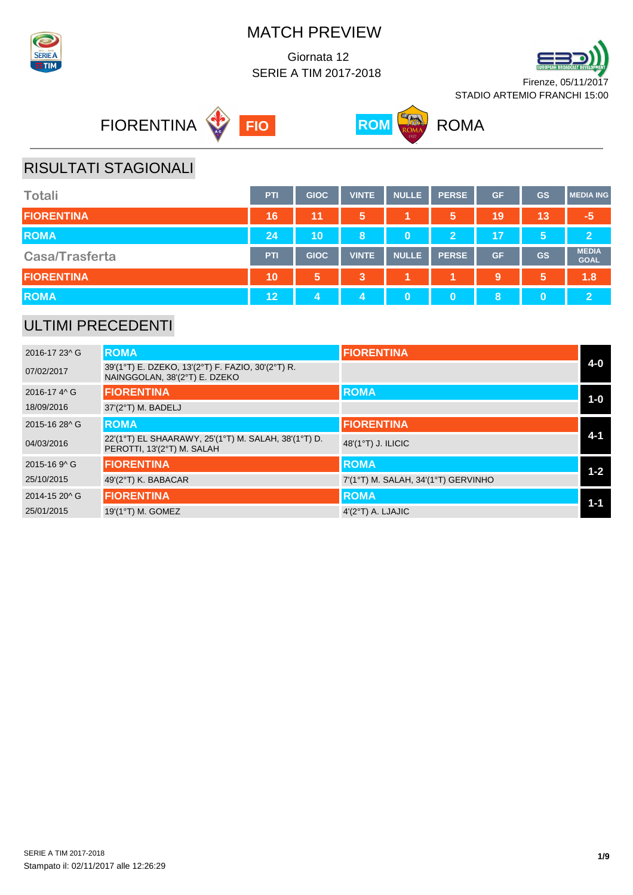

 Giornata 12 SERIE A TIM 2017-2018









# RISULTATI STAGIONALI

| <b>Totali</b>         | <b>PTI</b> | <b>GIOC</b> | VINTE | <b>NULLE</b> | <b>PERSE</b>   | <b>GF</b> | <b>GS</b> | <b>MEDIA ING</b>            |
|-----------------------|------------|-------------|-------|--------------|----------------|-----------|-----------|-----------------------------|
| <b>FIORENTINA</b>     | 16         | 11          | 5     |              | 5              | 19        | 13        | $-5$                        |
| <b>ROMA</b>           | 24         | 10          | 8     | $\bf{0}$     | $\overline{2}$ | 17        | 5         | $\overline{2}$              |
| <b>Casa/Trasferta</b> | <b>PTI</b> | <b>GIOC</b> | VINTE | <b>NULLE</b> | <b>PERSE</b>   | <b>GF</b> | <b>GS</b> | <b>MEDIA</b><br><b>GOAL</b> |
| <b>FIORENTINA</b>     | 10         | 5,          | 3     |              |                | 9         | 5         | 1.8                         |
| <b>ROMA</b>           | 12         | 4           | 4     | 0            |                | 8         | $\bf{0}$  | $\overline{2}$              |

### ULTIMI PRECEDENTI

| 2016-17 23^ G | <b>ROMA</b>                                                                        | <b>FIORENTINA</b>                   |         |
|---------------|------------------------------------------------------------------------------------|-------------------------------------|---------|
| 07/02/2017    | 39'(1°T) E. DZEKO, 13'(2°T) F. FAZIO, 30'(2°T) R.<br>NAINGGOLAN, 38'(2°T) E. DZEKO |                                     | $4 - 0$ |
| 2016-17 4 ^ G | <b>FIORENTINA</b>                                                                  | <b>ROMA</b>                         | $1-0$   |
| 18/09/2016    | 37'(2°T) M. BADELJ                                                                 |                                     |         |
| 2015-16 28^ G | <b>ROMA</b>                                                                        | <b>FIORENTINA</b>                   |         |
| 04/03/2016    | 22'(1°T) EL SHAARAWY, 25'(1°T) M. SALAH, 38'(1°T) D.<br>PEROTTI, 13'(2°T) M. SALAH | 48'(1°T) J. ILICIC                  | $4 - 1$ |
| 2015-16 9^ G  | <b>FIORENTINA</b>                                                                  | <b>ROMA</b>                         | $1 - 2$ |
| 25/10/2015    | 49'(2°T) K. BABACAR                                                                | 7'(1°T) M. SALAH, 34'(1°T) GERVINHO |         |
| 2014-15 20^ G | <b>FIORENTINA</b>                                                                  | <b>ROMA</b>                         | $1 - 1$ |
| 25/01/2015    | 19'(1°T) M. GOMEZ                                                                  | $4'(2°T)$ A. LJAJIC                 |         |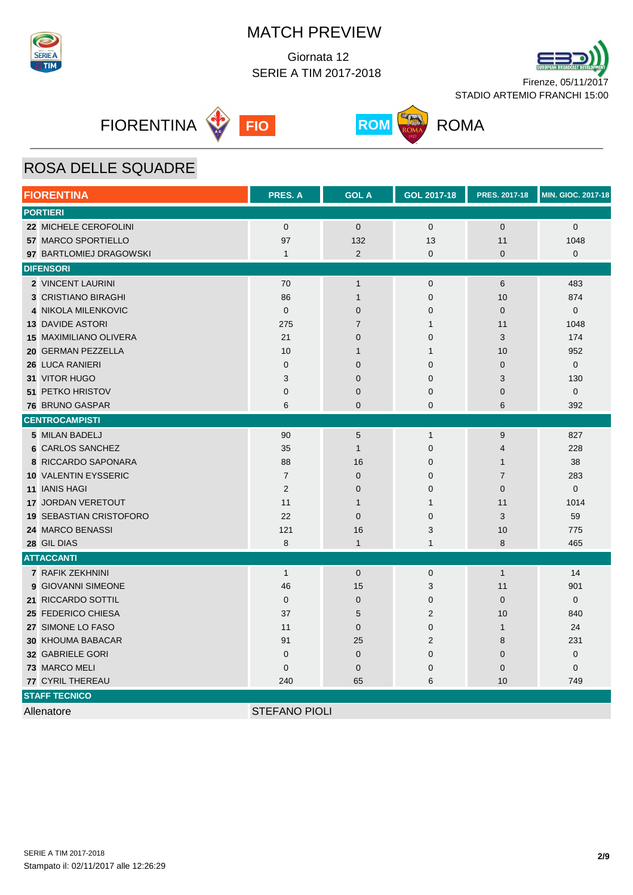

 Giornata 12 SERIE A TIM 2017-2018









# ROSA DELLE SQUADRE

| <b>FIORENTINA</b>              | PRES. A              | <b>GOL A</b>   | <b>GOL 2017-18</b> | PRES. 2017-18  | <b>MIN. GIOC. 2017-18</b> |
|--------------------------------|----------------------|----------------|--------------------|----------------|---------------------------|
| <b>PORTIERI</b>                |                      |                |                    |                |                           |
| 22 MICHELE CEROFOLINI          | $\mathbf 0$          | $\mathbf{0}$   | $\mathbf{0}$       | $\mathbf 0$    | $\mathbf 0$               |
| 57 MARCO SPORTIELLO            | 97                   | 132            | 13                 | 11             | 1048                      |
| 97 BARTLOMIEJ DRAGOWSKI        | $\mathbf{1}$         | $\overline{2}$ | 0                  | $\mathbf 0$    | 0                         |
| <b>DIFENSORI</b>               |                      |                |                    |                |                           |
| 2 VINCENT LAURINI              | 70                   | $\mathbf{1}$   | $\mathbf 0$        | 6              | 483                       |
| <b>3 CRISTIANO BIRAGHI</b>     | 86                   | $\mathbf{1}$   | $\mathbf 0$        | 10             | 874                       |
| 4 NIKOLA MILENKOVIC            | $\overline{0}$       | $\mathbf 0$    | 0                  | $\mathbf 0$    | $\mathbf 0$               |
| <b>13 DAVIDE ASTORI</b>        | 275                  | $\overline{7}$ | $\mathbf{1}$       | 11             | 1048                      |
| <b>15 MAXIMILIANO OLIVERA</b>  | 21                   | $\mathbf 0$    | $\mathbf 0$        | 3              | 174                       |
| 20 GERMAN PEZZELLA             | 10                   | $\mathbf 1$    | $\mathbf{1}$       | 10             | 952                       |
| 26 LUCA RANIERI                | $\mathbf{0}$         | $\overline{0}$ | $\mathbf{0}$       | $\overline{0}$ | $\mathbf{0}$              |
| 31 VITOR HUGO                  | 3                    | $\mathbf{0}$   | $\mathbf{0}$       | 3              | 130                       |
| 51 PETKO HRISTOV               | $\mathbf 0$          | $\mathbf 0$    | 0                  | $\mathbf 0$    | $\mathbf 0$               |
| 76 BRUNO GASPAR                | 6                    | $\mathbf 0$    | 0                  | 6              | 392                       |
| <b>CENTROCAMPISTI</b>          |                      |                |                    |                |                           |
| 5 MILAN BADELJ                 | 90                   | 5              | $\mathbf{1}$       | 9              | 827                       |
| 6 CARLOS SANCHEZ               | 35                   | $\mathbf{1}$   | $\mathbf 0$        | $\overline{4}$ | 228                       |
| 8 RICCARDO SAPONARA            | 88                   | 16             | $\mathbf{0}$       | $\mathbf{1}$   | 38                        |
| 10 VALENTIN EYSSERIC           | $\overline{7}$       | $\mathbf 0$    | 0                  | $\overline{7}$ | 283                       |
| <b>11 IANIS HAGI</b>           | $\overline{2}$       | $\mathbf 0$    | 0                  | $\overline{0}$ | $\mathbf{0}$              |
| 17 JORDAN VERETOUT             | 11                   | $\mathbf{1}$   | $\mathbf{1}$       | 11             | 1014                      |
| <b>19 SEBASTIAN CRISTOFORO</b> | 22                   | $\overline{0}$ | $\mathbf{0}$       | 3              | 59                        |
| 24 MARCO BENASSI               | 121                  | 16             | 3                  | 10             | 775                       |
| 28 GIL DIAS                    | 8                    | $\mathbf{1}$   | $\mathbf{1}$       | 8              | 465                       |
| <b>ATTACCANTI</b>              |                      |                |                    |                |                           |
| 7 RAFIK ZEKHNINI               | $\mathbf{1}$         | $\mathbf 0$    | $\mathbf 0$        | $\mathbf{1}$   | 14                        |
| 9 GIOVANNI SIMEONE             | 46                   | 15             | 3                  | 11             | 901                       |
| 21 RICCARDO SOTTIL             | $\mathbf 0$          | $\mathbf{0}$   | $\mathbf 0$        | $\mathbf 0$    | $\mathbf 0$               |
| 25 FEDERICO CHIESA             | 37                   | 5              | $\overline{2}$     | 10             | 840                       |
| 27 SIMONE LO FASO              | 11                   | $\mathbf{0}$   | 0                  | $\mathbf{1}$   | 24                        |
| <b>30 KHOUMA BABACAR</b>       | 91                   | 25             | $\overline{2}$     | 8              | 231                       |
| 32 GABRIELE GORI               | $\mathbf 0$          | $\overline{0}$ | 0                  | $\overline{0}$ | $\mathbf 0$               |
| 73 MARCO MELI                  | $\mathbf{0}$         | $\mathbf 0$    | 0                  | $\mathbf 0$    | 0                         |
| 77 CYRIL THEREAU               | 240                  | 65             | 6                  | 10             | 749                       |
| <b>STAFF TECNICO</b>           |                      |                |                    |                |                           |
| Allenatore                     | <b>STEFANO PIOLI</b> |                |                    |                |                           |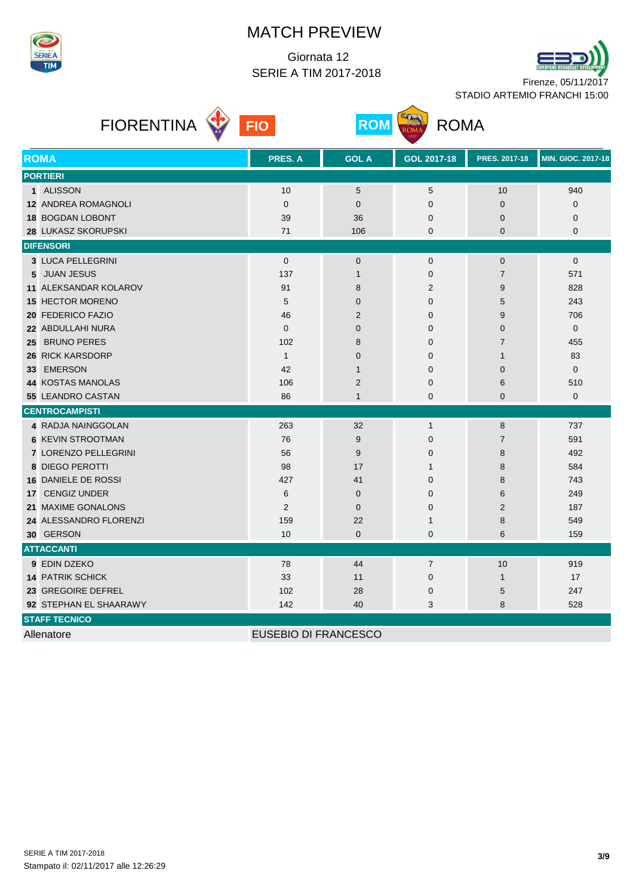

 Giornata 12 SERIE A TIM 2017-2018







| <b>ROMA</b>                  | PRES. A                     | <b>GOL A</b>   | GOL 2017-18    | <b>PRES. 2017-18</b> | <b>MIN. GIOC. 2017-18</b> |
|------------------------------|-----------------------------|----------------|----------------|----------------------|---------------------------|
| <b>PORTIERI</b>              |                             |                |                |                      |                           |
| 1 ALISSON                    | 10                          | 5              | 5              | 10                   | 940                       |
| <b>12 ANDREA ROMAGNOLI</b>   | $\mathbf{0}$                | $\mathbf 0$    | $\mathbf 0$    | $\overline{0}$       | 0                         |
| 18 BOGDAN LOBONT             | 39                          | 36             | 0              | 0                    | 0                         |
| 28 LUKASZ SKORUPSKI          | 71                          | 106            | 0              | 0                    | 0                         |
| <b>DIFENSORI</b>             |                             |                |                |                      |                           |
| 3 LUCA PELLEGRINI            | $\mathbf{0}$                | $\mathbf 0$    | $\mathbf{0}$   | $\mathbf{0}$         | $\mathbf{0}$              |
| <b>JUAN JESUS</b><br>5       | 137                         | $\mathbf{1}$   | 0              | $\overline{7}$       | 571                       |
| <b>11 ALEKSANDAR KOLAROV</b> | 91                          | 8              | $\overline{2}$ | 9                    | 828                       |
| <b>15 HECTOR MORENO</b>      | 5                           | $\mathbf{0}$   | $\mathbf 0$    | 5                    | 243                       |
| 20 FEDERICO FAZIO            | 46                          | $\overline{2}$ | 0              | 9                    | 706                       |
| 22 ABDULLAHI NURA            | $\mathbf{0}$                | $\mathbf 0$    | 0              | 0                    | 0                         |
| <b>BRUNO PERES</b><br>25     | 102                         | 8              | 0              | $\overline{7}$       | 455                       |
| 26 RICK KARSDORP             | $\mathbf{1}$                | $\mathbf{0}$   | 0              | 1                    | 83                        |
| <b>EMERSON</b><br>33         | 42                          | $\mathbf{1}$   | $\mathbf 0$    | $\Omega$             | 0                         |
| <b>44 KOSTAS MANOLAS</b>     | 106                         | $\overline{2}$ | 0              | 6                    | 510                       |
| 55 LEANDRO CASTAN            | 86                          | $\mathbf{1}$   | $\mathbf 0$    | $\overline{0}$       | $\mathbf 0$               |
| <b>CENTROCAMPISTI</b>        |                             |                |                |                      |                           |
| 4 RADJA NAINGGOLAN           | 263                         | 32             | $\mathbf{1}$   | 8                    | 737                       |
| <b>6 KEVIN STROOTMAN</b>     | 76                          | 9              | $\mathbf 0$    | $\overline{7}$       | 591                       |
| 7 LORENZO PELLEGRINI         | 56                          | 9              | 0              | 8                    | 492                       |
| <b>8 DIEGO PEROTTI</b>       | 98                          | 17             | $\mathbf{1}$   | 8                    | 584                       |
| 16 DANIELE DE ROSSI          | 427                         | 41             | 0              | 8                    | 743                       |
| <b>CENGIZ UNDER</b><br>17    | 6                           | $\mathbf{0}$   | 0              | 6                    | 249                       |
| 21 MAXIME GONALONS           | 2                           | $\mathbf{0}$   | 0              | $\overline{2}$       | 187                       |
| 24 ALESSANDRO FLORENZI       | 159                         | 22             | 1              | 8                    | 549                       |
| 30 GERSON                    | 10                          | 0              | 0              | 6                    | 159                       |
| <b>ATTACCANTI</b>            |                             |                |                |                      |                           |
| 9 EDIN DZEKO                 | 78                          | 44             | $\overline{7}$ | 10                   | 919                       |
| <b>14 PATRIK SCHICK</b>      | 33                          | 11             | $\mathbf 0$    | $\mathbf{1}$         | 17                        |
| 23 GREGOIRE DEFREL           | 102                         | 28             | $\mathbf 0$    | 5                    | 247                       |
| 92 STEPHAN EL SHAARAWY       | 142                         | 40             | 3              | 8                    | 528                       |
| <b>STAFF TECNICO</b>         |                             |                |                |                      |                           |
| Allenatore                   | <b>EUSEBIO DI FRANCESCO</b> |                |                |                      |                           |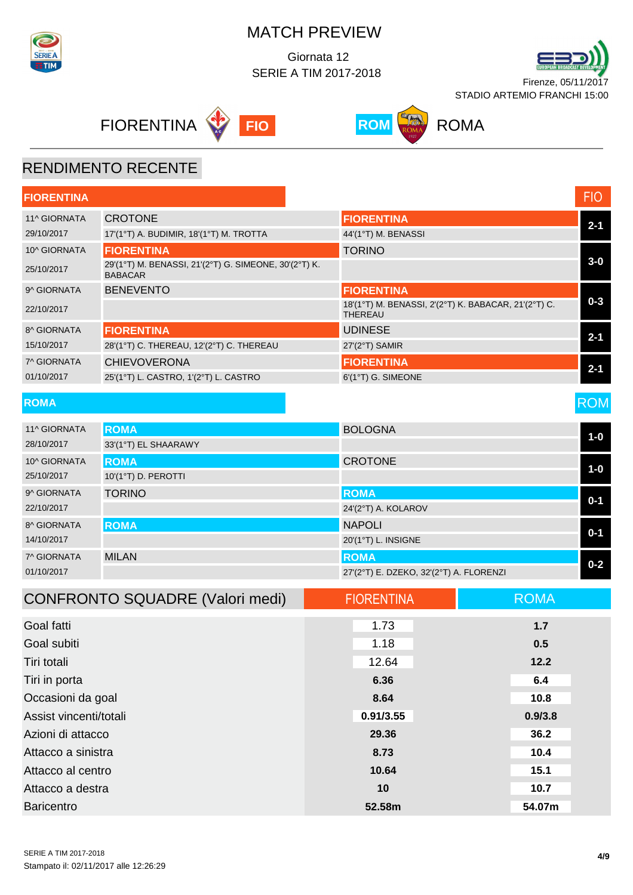

 Giornata 12 SERIE A TIM 2017-2018









#### RENDIMENTO RECENTE

| <b>FIORENTINA</b>      |                                                                         |                                                                        | <b>FIO</b>  |
|------------------------|-------------------------------------------------------------------------|------------------------------------------------------------------------|-------------|
| 11^ GIORNATA           | <b>CROTONE</b>                                                          | <b>FIORENTINA</b>                                                      |             |
| 29/10/2017             | 17'(1°T) A. BUDIMIR, 18'(1°T) M. TROTTA                                 | 44'(1°T) M. BENASSI                                                    | $2 - 1$     |
| 10^ GIORNATA           | <b>FIORENTINA</b>                                                       | <b>TORINO</b>                                                          |             |
| 25/10/2017             | 29'(1°T) M. BENASSI, 21'(2°T) G. SIMEONE, 30'(2°T) K.<br><b>BABACAR</b> |                                                                        | $3-0$       |
| 9^ GIORNATA            | <b>BENEVENTO</b>                                                        | <b>FIORENTINA</b>                                                      |             |
| 22/10/2017             |                                                                         | 18'(1°T) M. BENASSI, 2'(2°T) K. BABACAR, 21'(2°T) C.<br><b>THEREAU</b> | $0 - 3$     |
| 8^ GIORNATA            | <b>FIORENTINA</b>                                                       | <b>UDINESE</b>                                                         | $2 - 1$     |
| 15/10/2017             | 28'(1°T) C. THEREAU, 12'(2°T) C. THEREAU                                | 27'(2°T) SAMIR                                                         |             |
| 7^ GIORNATA            | <b>CHIEVOVERONA</b>                                                     | <b>FIORENTINA</b>                                                      | $2 - 1$     |
| 01/10/2017             | 25'(1°T) L. CASTRO, 1'(2°T) L. CASTRO                                   | 6'(1°T) G. SIMEONE                                                     |             |
| <b>ROMA</b>            |                                                                         |                                                                        | <b>ROM</b>  |
| 11^ GIORNATA           | <b>ROMA</b>                                                             | <b>BOLOGNA</b>                                                         |             |
| 28/10/2017             | 33'(1°T) EL SHAARAWY                                                    |                                                                        | $1-0$       |
| 10^ GIORNATA           | <b>ROMA</b>                                                             | <b>CROTONE</b>                                                         | $1-0$       |
| 25/10/2017             | 10'(1°T) D. PEROTTI                                                     |                                                                        |             |
| 9^ GIORNATA            | <b>TORINO</b>                                                           | <b>ROMA</b>                                                            | $0 - 1$     |
| 22/10/2017             |                                                                         | 24'(2°T) A. KOLAROV                                                    |             |
| 8^ GIORNATA            | <b>ROMA</b>                                                             | <b>NAPOLI</b>                                                          | $0 - 1$     |
| 14/10/2017             |                                                                         | 20'(1°T) L. INSIGNE                                                    |             |
| 7^ GIORNATA            | <b>MILAN</b>                                                            | <b>ROMA</b>                                                            | $0 - 2$     |
| 01/10/2017             |                                                                         | 27'(2°T) E. DZEKO, 32'(2°T) A. FLORENZI                                |             |
|                        | <b>CONFRONTO SQUADRE (Valori medi)</b>                                  | <b>FIORENTINA</b>                                                      | <b>ROMA</b> |
| Goal fatti             |                                                                         | 1.73                                                                   | 1.7         |
| Goal subiti            |                                                                         | 1.18                                                                   | 0.5         |
| Tiri totali            |                                                                         | 12.64                                                                  | 12.2        |
| Tiri in porta          |                                                                         | 6.36                                                                   | 6.4         |
| Occasioni da goal      |                                                                         | 8.64                                                                   | 10.8        |
| Assist vincenti/totali |                                                                         | 0.91/3.55                                                              | 0.9/3.8     |
|                        |                                                                         |                                                                        |             |

Azioni di attacco **29.36 36.2** Attacco a sinistra **8.73 10.4** Attacco al centro **10.64 15.1** Attacco a destra **10 10.7** Baricentro **52.58m 54.07m**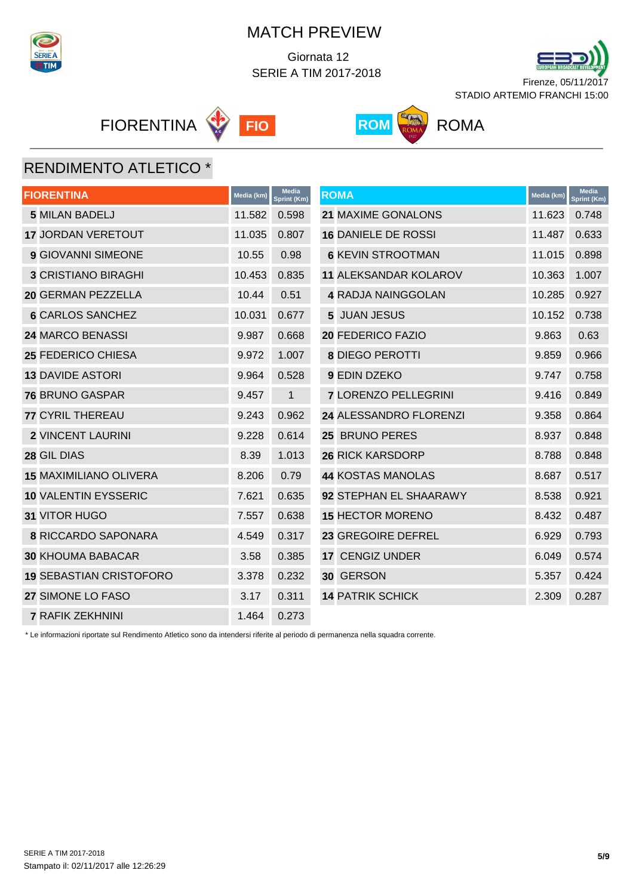

 Giornata 12 SERIE A TIM 2017-2018



**FIORENTINA FIO FIO ROM** ROMA





# RENDIMENTO ATLETICO \*

| <b>FIORENTINA</b>              | Media (km) | <b>Media</b><br>Sprint (Km) | <b>ROMA</b>                  | Media (km) | <b>Media</b><br>Sprint (Km) |
|--------------------------------|------------|-----------------------------|------------------------------|------------|-----------------------------|
| <b>5 MILAN BADELJ</b>          | 11.582     | 0.598                       | 21 MAXIME GONALONS           | 11.623     | 0.748                       |
| <b>17 JORDAN VERETOUT</b>      | 11.035     | 0.807                       | <b>16 DANIELE DE ROSSI</b>   | 11.487     | 0.633                       |
| <b>9 GIOVANNI SIMEONE</b>      | 10.55      | 0.98                        | <b>6 KEVIN STROOTMAN</b>     | 11.015     | 0.898                       |
| <b>3 CRISTIANO BIRAGHI</b>     | 10.453     | 0.835                       | <b>11 ALEKSANDAR KOLAROV</b> | 10.363     | 1.007                       |
| 20 GERMAN PEZZELLA             | 10.44      | 0.51                        | <b>4 RADJA NAINGGOLAN</b>    | 10.285     | 0.927                       |
| <b>6 CARLOS SANCHEZ</b>        | 10.031     | 0.677                       | 5 JUAN JESUS                 | 10.152     | 0.738                       |
| 24 MARCO BENASSI               | 9.987      | 0.668                       | 20 FEDERICO FAZIO            | 9.863      | 0.63                        |
| 25 FEDERICO CHIESA             | 9.972      | 1.007                       | <b>8 DIEGO PEROTTI</b>       | 9.859      | 0.966                       |
| <b>13 DAVIDE ASTORI</b>        | 9.964      | 0.528                       | 9 EDIN DZEKO                 | 9.747      | 0.758                       |
| <b>76 BRUNO GASPAR</b>         | 9.457      | $\mathbf{1}$                | <b>7 LORENZO PELLEGRINI</b>  | 9.416      | 0.849                       |
| <b>77 CYRIL THEREAU</b>        | 9.243      | 0.962                       | 24 ALESSANDRO FLORENZI       | 9.358      | 0.864                       |
| <b>2 VINCENT LAURINI</b>       | 9.228      | 0.614                       | 25 BRUNO PERES               | 8.937      | 0.848                       |
| 28 GIL DIAS                    | 8.39       | 1.013                       | <b>26 RICK KARSDORP</b>      | 8.788      | 0.848                       |
| <b>15 MAXIMILIANO OLIVERA</b>  | 8.206      | 0.79                        | <b>44 KOSTAS MANOLAS</b>     | 8.687      | 0.517                       |
| 10 VALENTIN EYSSERIC           | 7.621      | 0.635                       | 92 STEPHAN EL SHAARAWY       | 8.538      | 0.921                       |
| 31 VITOR HUGO                  | 7.557      | 0.638                       | <b>15 HECTOR MORENO</b>      | 8.432      | 0.487                       |
| <b>8 RICCARDO SAPONARA</b>     | 4.549      | 0.317                       | 23 GREGOIRE DEFREL           | 6.929      | 0.793                       |
| <b>30 KHOUMA BABACAR</b>       | 3.58       | 0.385                       | 17 CENGIZ UNDER              | 6.049      | 0.574                       |
| <b>19 SEBASTIAN CRISTOFORO</b> | 3.378      | 0.232                       | 30 GERSON                    | 5.357      | 0.424                       |
| 27 SIMONE LO FASO              | 3.17       | 0.311                       | <b>14 PATRIK SCHICK</b>      | 2.309      | 0.287                       |
| <b>7 RAFIK ZEKHNINI</b>        | 1.464      | 0.273                       |                              |            |                             |

\* Le informazioni riportate sul Rendimento Atletico sono da intendersi riferite al periodo di permanenza nella squadra corrente.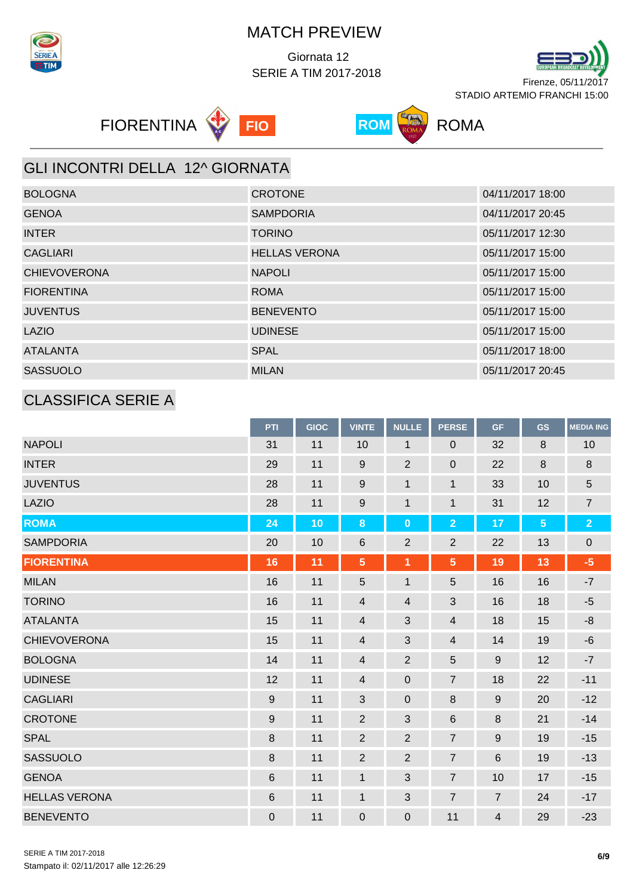

 Giornata 12 SERIE A TIM 2017-2018









## GLI INCONTRI DELLA 12^ GIORNATA

| <b>BOLOGNA</b>      | <b>CROTONE</b>       | 04/11/2017 18:00 |
|---------------------|----------------------|------------------|
| <b>GENOA</b>        | <b>SAMPDORIA</b>     | 04/11/2017 20:45 |
| <b>INTER</b>        | <b>TORINO</b>        | 05/11/2017 12:30 |
| <b>CAGLIARI</b>     | <b>HELLAS VERONA</b> | 05/11/2017 15:00 |
| <b>CHIEVOVERONA</b> | <b>NAPOLI</b>        | 05/11/2017 15:00 |
| <b>FIORENTINA</b>   | <b>ROMA</b>          | 05/11/2017 15:00 |
| <b>JUVENTUS</b>     | <b>BENEVENTO</b>     | 05/11/2017 15:00 |
| <b>LAZIO</b>        | <b>UDINESE</b>       | 05/11/2017 15:00 |
| <b>ATALANTA</b>     | <b>SPAL</b>          | 05/11/2017 18:00 |
| <b>SASSUOLO</b>     | <b>MILAN</b>         | 05/11/2017 20:45 |

## CLASSIFICA SERIE A

|                      | PTI         | <b>GIOC</b> | <b>VINTE</b>     | <b>NULLE</b>   | <b>PERSE</b>   | <b>GF</b>      | <b>GS</b>       | <b>MEDIA ING</b> |
|----------------------|-------------|-------------|------------------|----------------|----------------|----------------|-----------------|------------------|
| <b>NAPOLI</b>        | 31          | 11          | 10               | 1              | 0              | 32             | 8               | 10               |
| <b>INTER</b>         | 29          | 11          | $\boldsymbol{9}$ | $\overline{2}$ | $\pmb{0}$      | 22             | 8               | $\bf 8$          |
| <b>JUVENTUS</b>      | 28          | 11          | 9                | $\mathbf{1}$   | $\mathbf{1}$   | 33             | 10              | 5                |
| <b>LAZIO</b>         | 28          | 11          | 9                | $\mathbf{1}$   | $\mathbf{1}$   | 31             | 12              | $\overline{7}$   |
| <b>ROMA</b>          | 24          | 10          | $\bf 8$          | $\bf{0}$       | $\overline{2}$ | 17             | $5\phantom{.0}$ | $\overline{2}$   |
| <b>SAMPDORIA</b>     | 20          | 10          | 6                | $\overline{2}$ | $\mathbf 2$    | 22             | 13              | $\pmb{0}$        |
| <b>FIORENTINA</b>    | 16          | 11          | $\overline{5}$   | 1              | $\overline{5}$ | 19             | 13              | $-5$             |
| <b>MILAN</b>         | 16          | 11          | 5                | $\mathbf{1}$   | 5              | 16             | 16              | $-7$             |
| <b>TORINO</b>        | 16          | 11          | 4                | $\overline{4}$ | 3              | 16             | 18              | $-5$             |
| <b>ATALANTA</b>      | 15          | 11          | $\overline{4}$   | 3              | $\overline{4}$ | 18             | 15              | $-8$             |
| <b>CHIEVOVERONA</b>  | 15          | 11          | $\overline{4}$   | 3              | $\overline{4}$ | 14             | 19              | $-6$             |
| <b>BOLOGNA</b>       | 14          | 11          | $\overline{4}$   | $\overline{2}$ | 5              | 9              | 12              | $-7$             |
| <b>UDINESE</b>       | 12          | 11          | $\overline{4}$   | $\pmb{0}$      | $\overline{7}$ | 18             | 22              | $-11$            |
| <b>CAGLIARI</b>      | 9           | 11          | $\mathbf{3}$     | $\pmb{0}$      | 8              | 9              | 20              | $-12$            |
| <b>CROTONE</b>       | 9           | 11          | $\overline{2}$   | 3              | 6              | 8              | 21              | $-14$            |
| <b>SPAL</b>          | $\bf 8$     | 11          | $\overline{2}$   | $\overline{2}$ | 7              | 9              | 19              | $-15$            |
| SASSUOLO             | 8           | 11          | $\overline{2}$   | $\overline{2}$ | $\overline{7}$ | 6              | 19              | $-13$            |
| <b>GENOA</b>         | 6           | 11          | $\mathbf{1}$     | 3              | $\overline{7}$ | 10             | 17              | $-15$            |
| <b>HELLAS VERONA</b> | 6           | 11          | $\mathbf{1}$     | $\mathfrak{S}$ | $\overline{7}$ | $\overline{7}$ | 24              | $-17$            |
| <b>BENEVENTO</b>     | $\mathbf 0$ | 11          | $\pmb{0}$        | $\mathbf 0$    | 11             | 4              | 29              | $-23$            |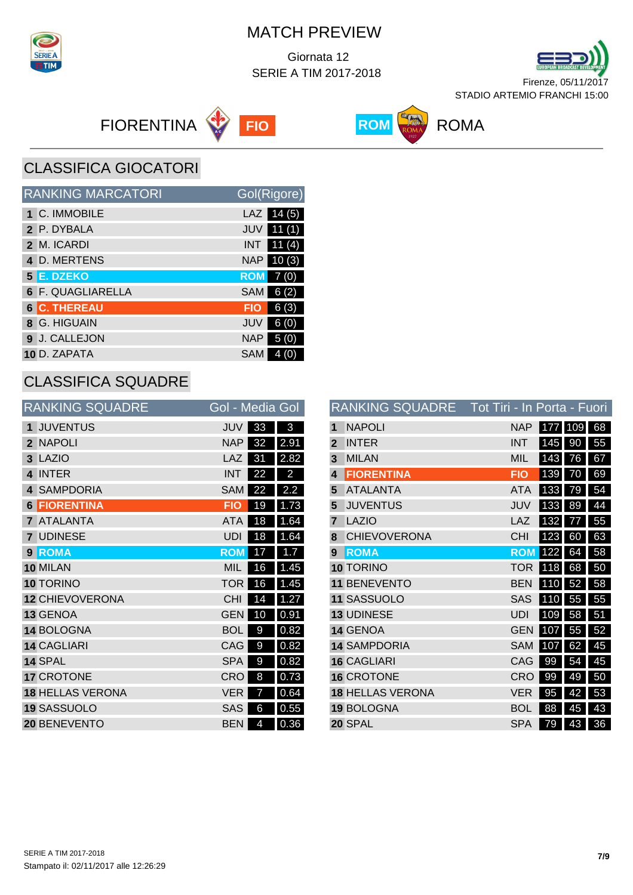

 Giornata 12 SERIE A TIM 2017-2018









CLASSIFICA GIOCATORI

| <b>RANKING MARCATORI</b> | Gol(Rigore)         |
|--------------------------|---------------------|
| 1 C. IMMOBILE            | 14(5)<br>LAZ        |
| 2 P. DYBALA              | 11(1)<br>JUV        |
| 2 M. ICARDI              | 11(4)<br><b>INT</b> |
| 4 D. MERTENS             | NAP<br>10(3)        |
| 5 E. DZEKO               | <b>ROM</b><br>7(0)  |
| 6 F. QUAGLIARELLA        | SAM<br>6(2)         |
| <b>6 C. THEREAU</b>      | 6(3)<br><b>FIO</b>  |
| 8 G. HIGUAIN             | 6(0)<br>JUV         |
| 9 J. CALLEJON            | <b>NAP</b><br>5(0)  |
| 10 D. ZAPATA             | <b>SAM</b>          |

## CLASSIFICA SQUADRE

|              | <b>RANKING SQUADRE</b>  | Gol - Media Gol |    |      |
|--------------|-------------------------|-----------------|----|------|
| 1            | <b>JUVENTUS</b>         | JUV             | 33 | 3    |
| $\mathbf{c}$ | <b>NAPOLI</b>           | <b>NAP</b>      | 32 | 2.91 |
| 3            | <b>LAZIO</b>            | LAZ             | 31 | 2.82 |
| 4            | <b>INTER</b>            | <b>INT</b>      | 22 | 2    |
| 4            | <b>SAMPDORIA</b>        | <b>SAM</b>      | 22 | 2.2  |
| 6            | <b>FIORENTINA</b>       | <b>FIO</b>      | 19 | 1.73 |
|              | <b>ATALANTA</b>         | <b>ATA</b>      | 18 | 1.64 |
| 7            | <b>UDINESE</b>          | <b>UDI</b>      | 18 | 1.64 |
| $\mathbf{Q}$ | <b>ROMA</b>             | <b>ROM</b>      | 17 | 1.7  |
|              | 10 MILAN                | MIL             | 16 | 1.45 |
|              | 10 TORINO               | <b>TOR</b>      | 16 | 1.45 |
|              | <b>12 CHIEVOVERONA</b>  | <b>CHI</b>      | 14 | 1.27 |
|              | 13 GENOA                | <b>GEN</b>      | 10 | 0.91 |
|              | 14 BOLOGNA              | <b>BOL</b>      | 9  | 0.82 |
|              | <b>14 CAGLIARI</b>      | CAG             | 9  | 0.82 |
|              | 14 SPAL                 | <b>SPA</b>      | 9  | 0.82 |
|              | <b>17 CROTONE</b>       | <b>CRO</b>      | 8  | 0.73 |
|              | <b>18 HELLAS VERONA</b> | VER             | 7  | 0.64 |
|              | 19 SASSUOLO             | <b>SAS</b>      | 6  | 0.55 |
|              | <b>20 BENEVENTO</b>     | <b>BEN</b>      | 4  | 0.36 |

|             | RANKING SQUADRE         | <u> Tot Tiri - In Porta - Fuori</u> |     |         |    |
|-------------|-------------------------|-------------------------------------|-----|---------|----|
| 1           | <b>NAPOLI</b>           | <b>NAP</b>                          |     | 177 109 | 68 |
| $\mathbf 2$ | <b>INTER</b>            | <b>INT</b>                          | 145 | 90      | 55 |
| 3           | <b>MILAN</b>            | <b>MIL</b>                          | 143 | 76      | 67 |
| 4           | <b>FIORENTINA</b>       | <b>FIO</b>                          | 139 | 70      | 69 |
| 5           | <b>ATALANTA</b>         | ATA                                 | 133 | 79      | 54 |
| 5           | <b>JUVENTUS</b>         | <b>JUV</b>                          | 133 | 89      | 44 |
| 7           | <b>LAZIO</b>            | LAZ                                 | 132 | 77      | 55 |
| 8           | <b>CHIEVOVERONA</b>     | <b>CHI</b>                          | 123 | 60      | 63 |
| 9           | <b>ROMA</b>             | <b>ROM</b>                          | 122 | 64      | 58 |
|             | 10 TORINO               | <b>TOR</b>                          | 118 | 68      | 50 |
|             | 11 BENEVENTO            | <b>BEN</b>                          | 110 | 52      | 58 |
|             | 11 SASSUOLO             | <b>SAS</b>                          | 110 | 55      | 55 |
|             | 13 UDINESE              | <b>UDI</b>                          | 109 | 58      | 51 |
|             | 14 GENOA                | <b>GEN</b>                          | 107 | 55      | 52 |
|             | <b>14 SAMPDORIA</b>     | <b>SAM</b>                          | 107 | 62      | 45 |
|             | <b>16 CAGLIARI</b>      | CAG                                 | 99  | 54      | 45 |
|             | <b>16 CROTONE</b>       | CRO                                 | 99  | 49      | 50 |
|             | <b>18 HELLAS VERONA</b> | <b>VER</b>                          | 95  | 42      | 53 |
|             | 19 BOLOGNA              | <b>BOL</b>                          | 88  | 45      | 43 |
|             | 20 SPAL                 | <b>SPA</b>                          | 79  | 43      | 36 |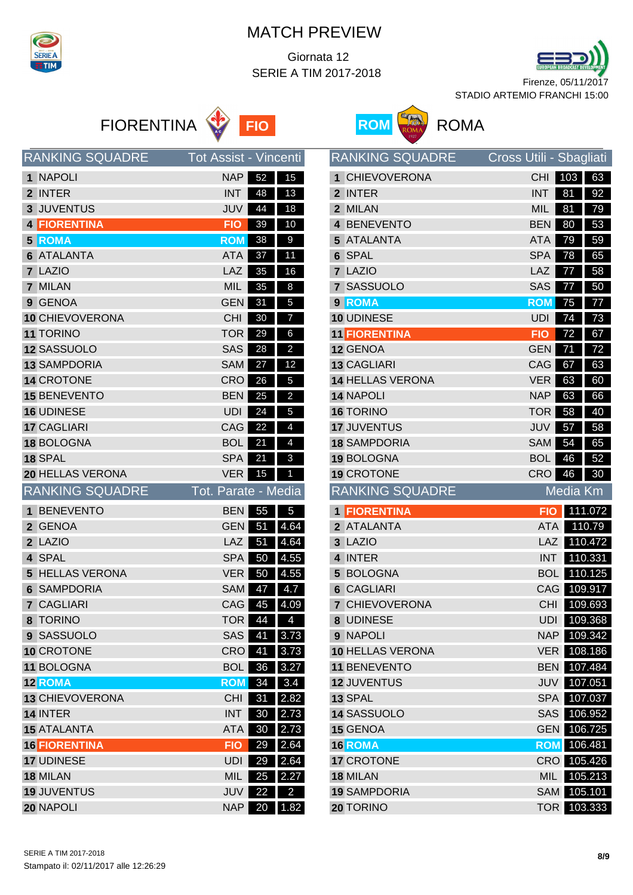

 Giornata 12 SERIE A TIM 2017-2018







|                | <b>RANKING SQUADRE</b> | <b>Tot Assist - Vincenti</b> |    |                         |
|----------------|------------------------|------------------------------|----|-------------------------|
| 1              | <b>NAPOLI</b>          | <b>NAP</b>                   | 52 | 15                      |
| $\overline{2}$ | <b>INTER</b>           | <b>INT</b>                   | 48 | 13                      |
|                | 3 JUVENTUS             | JUV                          | 44 | 18                      |
|                | <b>4 FIORENTINA</b>    | <b>FIO</b>                   | 39 | 10                      |
|                | <b>5 ROMA</b>          | <b>ROM</b>                   | 38 | 9                       |
|                | <b>6 ATALANTA</b>      | <b>ATA</b>                   | 37 | 11                      |
|                | 7 LAZIO                | LAZ                          | 35 | 16                      |
|                | 7 MILAN                | <b>MIL</b>                   | 35 | 8                       |
|                | 9 GENOA                | <b>GEN</b>                   | 31 | 5                       |
|                | 10 CHIEVOVERONA        | <b>CHI</b>                   | 30 | 7                       |
|                | <b>11 TORINO</b>       | <b>TOR</b>                   | 29 | 6                       |
|                | 12 SASSUOLO            | <b>SAS</b>                   | 28 | 2                       |
|                | <b>13 SAMPDORIA</b>    | <b>SAM</b>                   | 27 | 12                      |
|                | <b>14 CROTONE</b>      | <b>CRO</b>                   | 26 | 5                       |
|                | <b>15 BENEVENTO</b>    | <b>BEN</b>                   | 25 | $\overline{a}$          |
|                | 16 UDINESE             | <b>UDI</b>                   | 24 | 5                       |
|                | <b>17 CAGLIARI</b>     | CAG                          | 22 | 4                       |
|                | 18 BOLOGNA             | <b>BOL</b>                   | 21 | 4                       |
|                | 18 SPAL                | <b>SPA</b>                   | 21 | 3                       |
|                | 20 HELLAS VERONA       | <b>VER</b>                   | 15 | 1                       |
|                |                        |                              |    |                         |
|                | <b>RANKING SQUADRE</b> | Tot. Parate - Media          |    |                         |
| 1              | <b>BENEVENTO</b>       | <b>BEN</b>                   | 55 | 5                       |
|                | 2 GENOA                | <b>GEN</b>                   | 51 | 4.64                    |
|                | 2 LAZIO                | LAZ                          | 51 | 4.64                    |
|                | 4 SPAL                 | <b>SPA</b>                   | 50 | 4.55                    |
| 5              | <b>HELLAS VERONA</b>   | <b>VER</b>                   | 50 | 4.55                    |
|                | <b>6 SAMPDORIA</b>     | <b>SAM</b>                   | 47 | 4.7                     |
| 7              | <b>CAGLIARI</b>        | CAG                          | 45 | 4.09                    |
| 8              | <b>TORINO</b>          | <b>TOR</b>                   | 44 | 4                       |
|                | 9 SASSUOLO             | <b>SAS</b>                   | 41 | 3.73                    |
|                | 10 CROTONE             | <b>CRO</b>                   | 41 | 3.73                    |
|                | 11 BOLOGNA             | <b>BOL</b>                   | 36 | 3.27                    |
|                | <b>12 ROMA</b>         | <b>ROM</b>                   | 34 | 3.4                     |
|                | <b>13 CHIEVOVERONA</b> | <b>CHI</b>                   | 31 | 2.82                    |
|                | 14 INTER               | <b>INT</b>                   | 30 | 2.73                    |
|                | <b>15 ATALANTA</b>     | <b>ATA</b>                   | 30 | 2.73                    |
|                | <b>16 FIORENTINA</b>   | <b>FIO</b>                   | 29 | 2.64                    |
|                | 17 UDINESE             | <b>UDI</b>                   | 29 | 2.64                    |
|                | 18 MILAN               | <b>MIL</b>                   | 25 | 2.27                    |
|                | <b>19 JUVENTUS</b>     | <b>JUV</b>                   | 22 | $\overline{\mathbf{c}}$ |



|              | <b>RANKING SQUADRE</b>          | Cross Utili - Sbagliati |                    |                    |
|--------------|---------------------------------|-------------------------|--------------------|--------------------|
| $\mathbf 1$  | <b>CHIEVOVERONA</b>             | <b>CHI</b>              | 103                | 63                 |
| $\mathbf{2}$ | <b>INTER</b>                    | <b>INT</b>              | 81                 | 92                 |
|              | 2 MILAN                         | <b>MIL</b>              | 81                 | 79                 |
|              | 4 BENEVENTO                     | <b>BEN</b>              | 80                 | 53                 |
|              | 5 ATALANTA                      | <b>ATA</b>              | 79                 | 59                 |
|              | 6 SPAL                          | <b>SPA</b>              | 78                 | 65                 |
|              | 7 LAZIO                         | <b>LAZ</b>              | 77                 | 58                 |
|              | 7 SASSUOLO                      | SAS                     | 77                 | 50                 |
|              | 9 ROMA                          | <b>ROM</b>              | 75                 | $\overline{77}$    |
|              | 10 UDINESE                      | <b>UDI</b>              | 74                 | 73                 |
|              | <b>11 FIORENTINA</b>            | <b>FIO</b>              | 72                 | 67                 |
|              | 12 GENOA                        | <b>GEN</b>              | 71                 | 72                 |
|              | <b>13 CAGLIARI</b>              | CAG                     | 67                 | 63                 |
|              | <b>14 HELLAS VERONA</b>         | <b>VER</b>              | 63                 | 60                 |
|              | <b>14 NAPOLI</b>                | <b>NAP</b>              | 63                 | 66                 |
|              | <b>16 TORINO</b>                | <b>TOR</b>              | 58                 | 40                 |
|              | <b>17 JUVENTUS</b>              | JUV                     | 57                 | 58                 |
|              | <b>18 SAMPDORIA</b>             | <b>SAM</b>              | 54                 | 65                 |
|              | 19 BOLOGNA                      | <b>BOL</b>              | 46                 | 52                 |
|              | <b>19 CROTONE</b>               | CRO                     | 46                 | 30                 |
|              |                                 |                         |                    |                    |
|              | <b>RANKING SQUADRE</b>          |                         | Media Km           |                    |
|              | 1 <b>FIORENTINA</b>             | <b>FIO</b>              |                    | 111.072            |
|              | 2 ATALANTA                      | <b>ATA</b>              |                    | 110.79             |
|              | 3 LAZIO                         | <b>LAZ</b>              |                    | 110.472            |
| 4            | <b>INTER</b>                    | <b>INT</b>              |                    | 110.331            |
| 5            | <b>BOLOGNA</b>                  | <b>BOL</b>              |                    | 110.125            |
|              | <b>6 CAGLIARI</b>               | CAG                     |                    | 109.917            |
|              | <b>7 CHIEVOVERONA</b>           | CHI                     |                    | 109.693            |
|              | 8 UDINESE                       | UDI                     |                    | 109.368            |
|              | 9 NAPOLI                        | NAP                     |                    | 109.342            |
|              | <b>10 HELLAS VERONA</b>         | <b>VER</b>              |                    | 108.186            |
|              | <b>11 BENEVENTO</b>             | <b>BEN</b>              |                    | 107.484            |
|              | <b>12 JUVENTUS</b>              | JUV                     |                    | 107.051            |
|              | 13 SPAL                         | SPA                     |                    | 107.037            |
|              | 14 SASSUOLO                     | SAS                     |                    | 106.952            |
|              | 15 GENOA                        | <b>GEN</b>              |                    | 106.725            |
|              | <b>16 ROMA</b>                  |                         | <b>ROM</b> 106.481 |                    |
|              | <b>17 CROTONE</b>               | CRO                     |                    | 105.426            |
|              | 18 MILAN<br><b>19 SAMPDORIA</b> | MIL <sup>1</sup><br>SAM |                    | 105.213<br>105.101 |